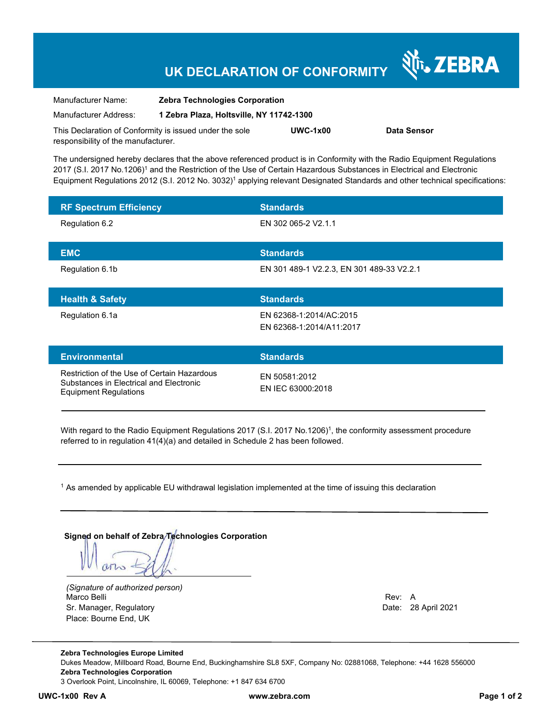## **UK DECLARATION OF CONFORMITY**

| Manufacturer Name:                                      | <b>Zebra Technologies Corporation</b>    |            |             |
|---------------------------------------------------------|------------------------------------------|------------|-------------|
| Manufacturer Address:                                   | 1 Zebra Plaza, Holtsville, NY 11742-1300 |            |             |
| This Declaration of Conformity is issued under the sole |                                          | $UWC-1x00$ | Data Sensor |
| responsibility of the manufacturer.                     |                                          |            |             |

The undersigned hereby declares that the above referenced product is in Conformity with the Radio Equipment Regulations 2017 (S.I. 2017 No.1206)<sup>1</sup> and the Restriction of the Use of Certain Hazardous Substances in Electrical and Electronic Equipment Regulations 2012 (S.I. 2012 No. 3032)<sup>1</sup> applying relevant Designated Standards and other technical specifications:

| <b>RF Spectrum Efficiency</b>                                                                                            | <b>Standards</b>                                    |
|--------------------------------------------------------------------------------------------------------------------------|-----------------------------------------------------|
| Regulation 6.2                                                                                                           | EN 302 065-2 V2.1.1                                 |
| <b>EMC</b>                                                                                                               | <b>Standards</b>                                    |
| Regulation 6.1b                                                                                                          | EN 301 489-1 V2.2.3, EN 301 489-33 V2.2.1           |
| <b>Health &amp; Safety</b>                                                                                               | <b>Standards</b>                                    |
| Regulation 6.1a                                                                                                          | EN 62368-1:2014/AC:2015<br>EN 62368-1:2014/A11:2017 |
| <b>Environmental</b>                                                                                                     | <b>Standards</b>                                    |
| Restriction of the Use of Certain Hazardous<br>Substances in Electrical and Electronic<br>Escriptora del Descriptione di | EN 50581:2012<br>FN IFC 63000:2018                  |

With regard to the Radio Equipment Regulations 2017 (S.I. 2017 No.1206)<sup>1</sup>, the conformity assessment procedure referred to in regulation 41(4)(a) and detailed in Schedule 2 has been followed.

 $^{\rm 1}$  As amended by applicable EU withdrawal legislation implemented at the time of issuing this declaration

**Signed on behalf of Zebra Technologies Corporation** 

arno

*(Signature of authorized person)* Marco Belli Rev: A Alexander Communication of the Communication of the Communication of the Communication of the Communication of the Communication of the Communication of the Communication of the Communication of the Comm Sr. Manager, Regulatory **Date: 28 April 2021** Place: Bourne End, UK

Equipment Regulations

N<sub>I</sub> ZEBRA

**Zebra Technologies Europe Limited**  Dukes Meadow, Millboard Road, Bourne End, Buckinghamshire SL8 5XF, Company No: 02881068, Telephone: +44 1628 556000 **Zebra Technologies Corporation**  3 Overlook Point, Lincolnshire, IL 60069, Telephone: +1 847 634 6700